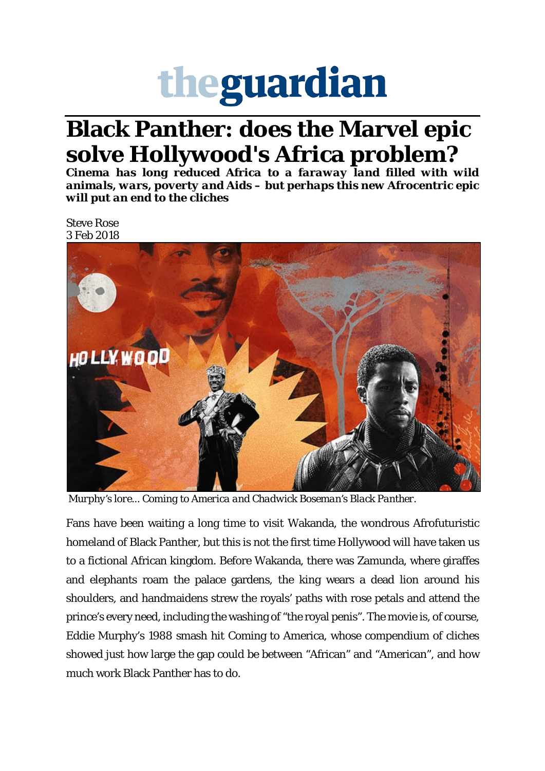

## **Black Panther: does the Marvel epic solve Hollywood's Africa problem?**

*Cinema has long reduced Africa to a faraway land filled with wild animals, wars, poverty and Aids – but perhaps this new Afrocentric epic will put an end to the cliches*

Steve Rose 3 Feb 2018



*Murphy's lore... Coming to America and Chadwick Boseman's Black Panther.*

Fans have been waiting a long time to visit Wakanda, the wondrous Afrofuturistic homeland of Black Panther, but this is not the first time Hollywood will have taken us to a fictional African kingdom. Before Wakanda, there was Zamunda, where giraffes and elephants roam the palace gardens, the king wears a dead lion around his shoulders, and handmaidens strew the royals' paths with rose petals and attend the prince's every need, including the washing of "the royal penis". The movie is, of course, Eddie Murphy's 1988 smash hit Coming to America, whose compendium of cliches showed just how large the gap could be between "African" and "American", and how much work Black Panther has to do.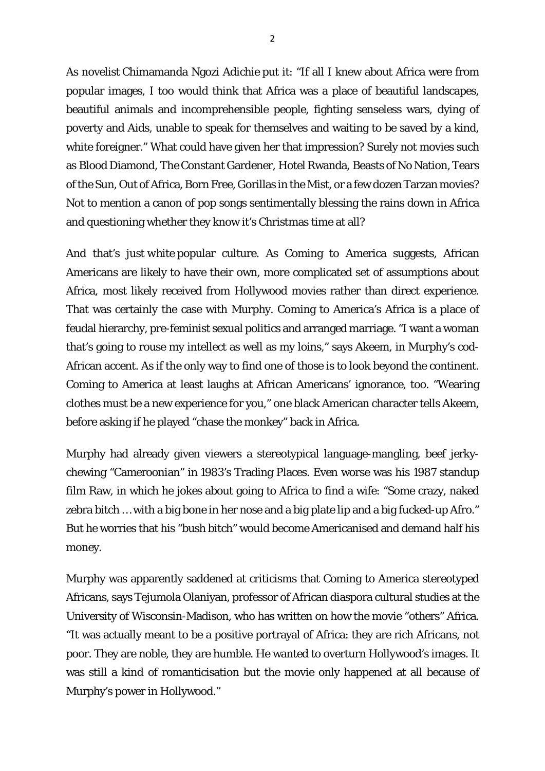As novelist Chimamanda Ngozi Adichie put it: "If all I knew about Africa were from popular images, I too would think that Africa was a place of beautiful landscapes, beautiful animals and incomprehensible people, fighting senseless wars, dying of poverty and Aids, unable to speak for themselves and waiting to be saved by a kind, white foreigner." What could have given her that impression? Surely not movies such as Blood Diamond, The Constant Gardener, Hotel Rwanda, Beasts of No Nation, Tears of the Sun, Out of Africa, Born Free, Gorillas in the Mist, or a few dozen Tarzan movies? Not to mention a canon of pop songs sentimentally blessing the rains down in Africa and questioning whether they know it's Christmas time at all?

And that's just *white* popular culture. As Coming to America suggests, African Americans are likely to have their own, more complicated set of assumptions about Africa, most likely received from Hollywood movies rather than direct experience. That was certainly the case with Murphy. Coming to America's Africa is a place of feudal hierarchy, pre-feminist sexual politics and arranged marriage. "I want a woman that's going to rouse my intellect as well as my loins," says Akeem, in Murphy's cod-African accent. As if the only way to find one of those is to look beyond the continent. Coming to America at least laughs at African Americans' ignorance, too. "Wearing clothes must be a new experience for you," one black American character tells Akeem, before asking if he played "chase the monkey" back in Africa.

Murphy had already given viewers a stereotypical language-mangling, beef jerkychewing "Cameroonian" in 1983's Trading Places. Even worse was his 1987 standup film Raw, in which he jokes about going to Africa to find a wife: "Some crazy, naked zebra bitch … with a big bone in her nose and a big plate lip and a big fucked-up Afro." But he worries that his "bush bitch" would become Americanised and demand half his money.

Murphy was apparently saddened at criticisms that Coming to America stereotyped Africans, says Tejumola Olaniyan, professor of African diaspora cultural studies at the University of Wisconsin-Madison, who has written on how the movie "others" Africa. "It was actually meant to be a positive portrayal of Africa: they are rich Africans, not poor. They are noble, they are humble. He wanted to overturn Hollywood's images. It was still a kind of romanticisation but the movie only happened at all because of Murphy's power in Hollywood."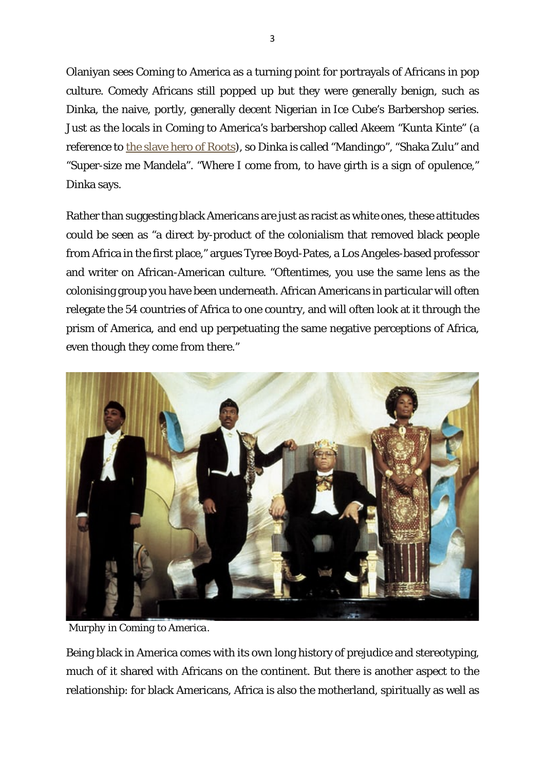Olaniyan sees Coming to America as a turning point for portrayals of Africans in pop culture. Comedy Africans still popped up but they were generally benign, such as Dinka, the naive, portly, generally decent Nigerian in Ice Cube's Barbershop series. Just as the locals in Coming to America's barbershop called Akeem "Kunta Kinte" (a reference to [the slave hero of Roots\)](https://www.theguardian.com/tv-and-radio/2017/feb/08/roots-revival-how-does-the-kunta-kinte-remake-stand-up), so Dinka is called "Mandingo", "Shaka Zulu" and "Super-size me Mandela". "Where I come from, to have girth is a sign of opulence," Dinka says.

Rather than suggesting black Americans are just as racist as white ones, these attitudes could be seen as "a direct by-product of the colonialism that removed black people from Africa in the first place," argues Tyree Boyd-Pates, a Los Angeles-based professor and writer on African-American culture. "Oftentimes, you use the same lens as the colonising group you have been underneath. African Americans in particular will often relegate the 54 countries of Africa to one country, and will often look at it through the prism of America, and end up perpetuating the same negative perceptions of Africa, even though they come from there."



*Murphy in Coming to America.*

Being black in America comes with its own long history of prejudice and stereotyping, much of it shared with Africans on the continent. But there is another aspect to the relationship: for black Americans, Africa is also the motherland, spiritually as well as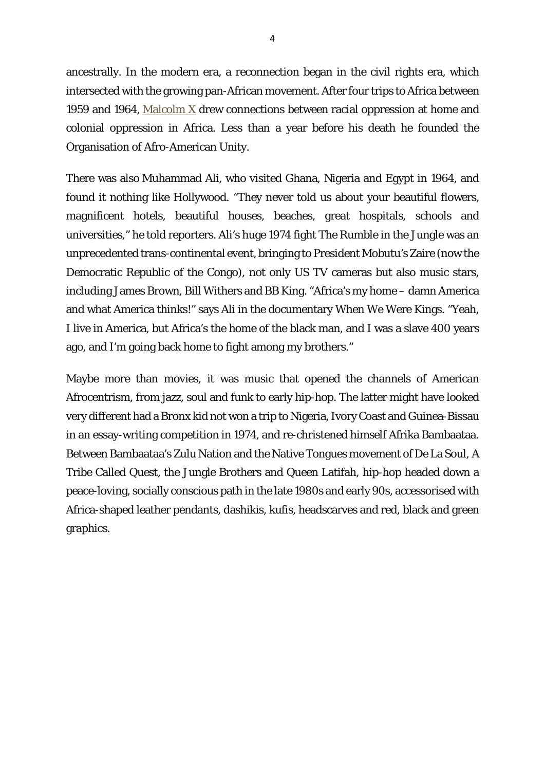ancestrally. In the modern era, a reconnection began in the civil rights era, which intersected with the growing pan-African movement. After four trips to Africa between 1959 and 1964, Malcolm  $\overline{X}$  drew connections between racial oppression at home and colonial oppression in Africa. Less than a year before his death he founded the Organisation of Afro-American Unity.

There was also Muhammad Ali, who visited Ghana, Nigeria and Egypt in 1964, and found it nothing like Hollywood. "They never told us about your beautiful flowers, magnificent hotels, beautiful houses, beaches, great hospitals, schools and universities," he told reporters. Ali's huge 1974 fight The Rumble in the Jungle was an unprecedented trans-continental event, bringing to President Mobutu's Zaire (now the Democratic Republic of the Congo), not only US TV cameras but also music stars, including James Brown, Bill Withers and BB King. "Africa's my home – damn America and what America thinks!" says Ali in the documentary When We Were Kings. "Yeah, I live in America, but Africa's the home of the black man, and I was a slave 400 years ago, and I'm going back home to fight among my brothers."

Maybe more than movies, it was music that opened the channels of American Afrocentrism, from jazz, soul and funk to early hip-hop. The latter might have looked very different had a Bronx kid not won a trip to Nigeria, Ivory Coast and Guinea-Bissau in an essay-writing competition in 1974, and re-christened himself Afrika Bambaataa. Between Bambaataa's Zulu Nation and the Native Tongues movement of De La Soul, A Tribe Called Quest, the Jungle Brothers and Queen Latifah, hip-hop headed down a peace-loving, socially conscious path in the late 1980s and early 90s, accessorised with Africa-shaped leather pendants, dashikis, kufis, headscarves and red, black and green graphics.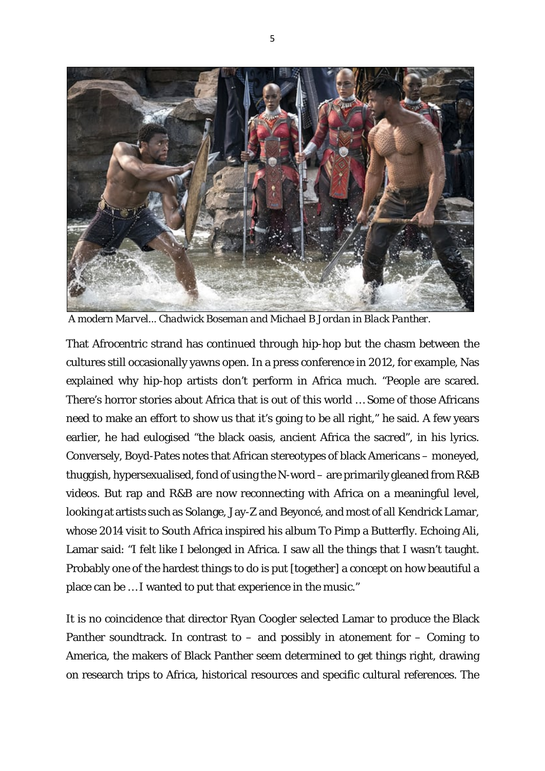

*A modern Marvel... Chadwick Boseman and Michael B Jordan in Black Panther.* 

That Afrocentric strand has continued through hip-hop but the chasm between the cultures still occasionally yawns open. In a press conference in 2012, for example, Nas explained why hip-hop artists don't perform in Africa much. "People are scared. There's horror stories about Africa that is out of this world … Some of those Africans need to make an effort to show us that it's going to be all right," he said. A few years earlier, he had eulogised "the black oasis, ancient Africa the sacred", in his lyrics. Conversely, Boyd-Pates notes that African stereotypes of black Americans – moneyed, thuggish, hypersexualised, fond of using the N-word – are primarily gleaned from R&B videos. But rap and R&B are now reconnecting with Africa on a meaningful level, looking at artists such as Solange, Jay-Z and Beyoncé, and most of all Kendrick Lamar, whose 2014 visit to South Africa inspired his album To Pimp a Butterfly. Echoing Ali, Lamar said: "I felt like I belonged in Africa. I saw all the things that I wasn't taught. Probably one of the hardest things to do is put [together] a concept on how beautiful a place can be … I wanted to put that experience in the music."

It is no coincidence that director Ryan Coogler selected Lamar to produce the Black Panther soundtrack. In contrast to – and possibly in atonement for – Coming to America, the makers of Black Panther seem determined to get things right, drawing on research trips to Africa, historical resources and specific cultural references. The